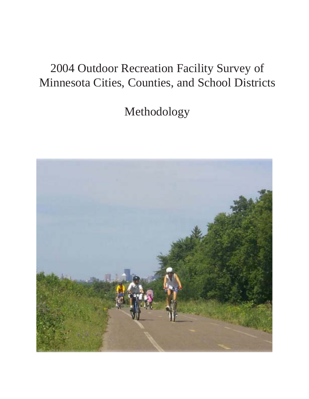# 2004 Outdoor Recreation Facility Survey of Minnesota Cities, Counties, and School Districts

Methodology

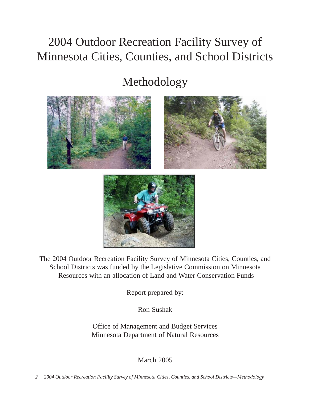# 2004 Outdoor Recreation Facility Survey of Minnesota Cities, Counties, and School Districts

# Methodology





The 2004 Outdoor Recreation Facility Survey of Minnesota Cities, Counties, and School Districts was funded by the Legislative Commission on Minnesota Resources with an allocation of Land and Water Conservation Funds

Report prepared by:

Ron Sushak

Office of Management and Budget Services Minnesota Department of Natural Resources

March 2005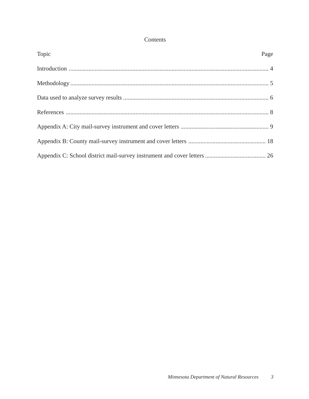## Contents

| Topic | Page |
|-------|------|
|       |      |
|       |      |
|       |      |
|       |      |
|       |      |
|       |      |
|       |      |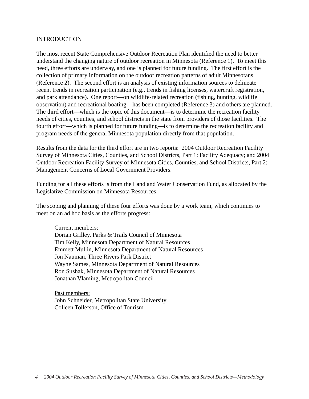#### INTRODUCTION

The most recent State Comprehensive Outdoor Recreation Plan identified the need to better understand the changing nature of outdoor recreation in Minnesota (Reference 1). To meet this need, three efforts are underway, and one is planned for future funding. The first effort is the collection of primary information on the outdoor recreation patterns of adult Minnesotans (Reference 2). The second effort is an analysis of existing information sources to delineate recent trends in recreation participation (e.g., trends in fishing licenses, watercraft registration, and park attendance). One report—on wildlife-related recreation (fishing, hunting, wildlife observation) and recreational boating—has been completed (Reference 3) and others are planned. The third effort—which is the topic of this document—is to determine the recreation facility needs of cities, counties, and school districts in the state from providers of those facilities. The fourth effort—which is planned for future funding—is to determine the recreation facility and program needs of the general Minnesota population directly from that population.

Results from the data for the third effort are in two reports: 2004 Outdoor Recreation Facility Survey of Minnesota Cities, Counties, and School Districts, Part 1: Facility Adequacy; and 2004 Outdoor Recreation Facility Survey of Minnesota Cities, Counties, and School Districts, Part 2: Management Concerns of Local Government Providers.

Funding for all these efforts is from the Land and Water Conservation Fund, as allocated by the Legislative Commission on Minnesota Resources.

The scoping and planning of these four efforts was done by a work team, which continues to meet on an ad hoc basis as the efforts progress:

Current members:

Dorian Grilley, Parks & Trails Council of Minnesota Tim Kelly, Minnesota Department of Natural Resources Emmett Mullin, Minnesota Department of Natural Resources Jon Nauman, Three Rivers Park District Wayne Sames, Minnesota Department of Natural Resources Ron Sushak, Minnesota Department of Natural Resources Jonathan Vlaming, Metropolitan Council

Past members: John Schneider, Metropolitan State University Colleen Tollefson, Office of Tourism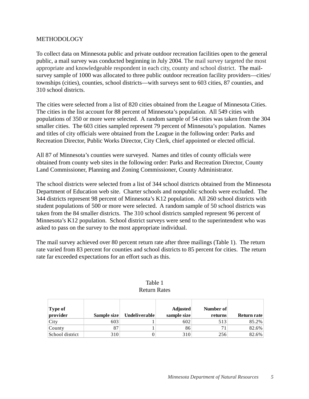### METHODOLOGY

To collect data on Minnesota public and private outdoor recreation facilities open to the general public, a mail survey was conducted beginning in July 2004. The mail survey targeted the most appropriate and knowledgeable respondent in each city, county and school district. The mailsurvey sample of 1000 was allocated to three public outdoor recreation facility providers—cities/ townships (cities), counties, school districts—with surveys sent to 603 cities, 87 counties, and 310 school districts.

The cities were selected from a list of 820 cities obtained from the League of Minnesota Cities. The cities in the list account for 88 percent of Minnesota's population. All 549 cities with populations of 350 or more were selected. A random sample of 54 cities was taken from the 304 smaller cities. The 603 cities sampled represent 79 percent of Minnesota's population. Names and titles of city officials were obtained from the League in the following order: Parks and Recreation Director, Public Works Director, City Clerk, chief appointed or elected official.

All 87 of Minnesota's counties were surveyed. Names and titles of county officials were obtained from county web sites in the following order: Parks and Recreation Director, County Land Commissioner, Planning and Zoning Commissioner, County Administrator.

The school districts were selected from a list of 344 school districts obtained from the Minnesota Department of Education web site. Charter schools and nonpublic schools were excluded. The 344 districts represent 98 percent of Minnesota's K12 population. All 260 school districts with student populations of 500 or more were selected. A random sample of 50 school districts was taken from the 84 smaller districts. The 310 school districts sampled represent 96 percent of Minnesota's K12 population. School district surveys were send to the superintendent who was asked to pass on the survey to the most appropriate individual.

The mail survey achieved over 80 percent return rate after three mailings (Table 1). The return rate varied from 83 percent for counties and school districts to 85 percent for cities. The return rate far exceeded expectations for an effort such as this.

| Type of<br>provider | Sample size | Undeliverable | <b>Adjusted</b><br>sample size | Number of<br>returns | Return rate |
|---------------------|-------------|---------------|--------------------------------|----------------------|-------------|
| City                | 603         |               | 602                            | 513                  | 85.2%       |
| County              | 87          |               | 86                             | 71                   | 82.6%       |
| School district     | 310         |               | 310                            | 256                  | 82.6%       |

## Table 1 Return Rates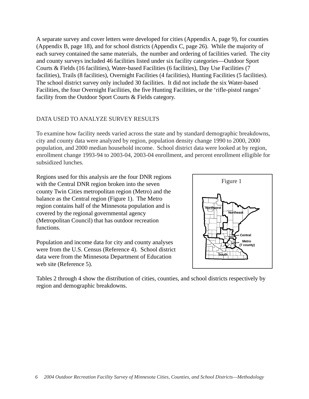A separate survey and cover letters were developed for cities (Appendix A, page 9), for counties (Appendix B, page 18), and for school districts (Appendix C, page 26). While the majority of each survey contained the same materials, the number and ordering of facilities varied. The city and county surveys included 46 facilities listed under six facility categories—Outdoor Sport Courts & Fields (16 facilities), Water-based Facilities (6 facilities), Day Use Facilities (7 facilities), Trails (8 facilities), Overnight Facilities (4 facilities), Hunting Facilities (5 facilities). The school district survey only included 30 facilities. It did not include the six Water-based Facilities, the four Overnight Facilities, the five Hunting Facilities, or the 'rifle-pistol ranges' facility from the Outdoor Sport Courts & Fields category.

## DATA USED TO ANALYZE SURVEY RESULTS

To examine how facility needs varied across the state and by standard demographic breakdowns, city and county data were analyzed by region, population density change 1990 to 2000, 2000 population, and 2000 median household income. School district data were looked at by region, enrollment change 1993-94 to 2003-04, 2003-04 enrollment, and percent enrollment elligible for subsidized lunches.

Regions used for this analysis are the four DNR regions with the Central DNR region broken into the seven county Twin Cities metropolitan region (Metro) and the balance as the Central region (Figure 1). The Metro region contains half of the Minnesota population and is covered by the regional governmental agency (Metropolitan Council) that has outdoor recreation functions.

Population and income data for city and county analyses were from the U.S. Census (Reference 4). School district data were from the Minnesota Department of Education web site (Reference 5).



Tables 2 through 4 show the distribution of cities, counties, and school districts respectively by region and demographic breakdowns.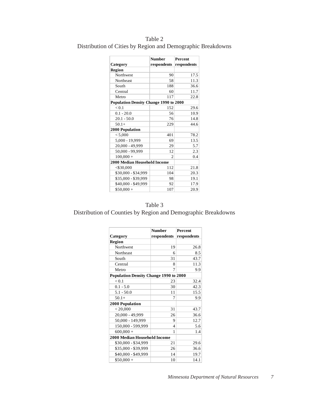|                                        | <b>Number</b> | Percent     |
|----------------------------------------|---------------|-------------|
| Category                               | respondents   | respondents |
| <b>Region</b>                          |               |             |
| Northwest                              | 90            | 17.5        |
| Northeast                              | 58            | 11.3        |
| South                                  | 188           | 36.6        |
| Central                                | 60            | 11.7        |
| Metro                                  | 117           | 22.8        |
| Population Density Change 1990 to 2000 |               |             |
| < 0.1                                  | 152           | 29.6        |
| $0.1 - 20.0$                           | 56            | 10.9        |
| $20.1 - 50.0$                          | 76            | 14.8        |
| $50.1+$                                | 229           | 44.6        |
| <b>2000 Population</b>                 |               |             |
| < 5,000                                | 401           | 78.2        |
| 5,000 - 19,999                         | 69            | 13.5        |
| 20,000 - 49,999                        | 29            | 5.7         |
| 50,000 - 99,999                        | 12            | 2.3         |
| $100,000 +$                            | 2             | 0.4         |
| <b>2000 Median Household Income</b>    |               |             |
| $<$ \$30,000                           | 112           | 21.8        |
| \$30,000 - \$34,999                    | 104           | 20.3        |
| \$35,000 - \$39,999                    | 98            | 19.1        |
| \$40,000 - \$49,999                    | 92            | 17.9        |
| $$50,000+$                             | 107           | 20.9        |

Table 2 Distribution of Cities by Region and Demographic Breakdowns

## Table 3

Distribution of Counties by Region and Demographic Breakdowns

|                                               | <b>Number</b> | <b>Percent</b> |
|-----------------------------------------------|---------------|----------------|
| Category                                      | respondents   | respondents    |
| Region                                        |               |                |
| Northwest                                     | 19            | 26.8           |
| Northeast                                     | 6             | 8.5            |
| South                                         | 31            | 43.7           |
| Central                                       | 8             | 11.3           |
| Metro                                         | 7             | 9.9            |
| <b>Population Density Change 1990 to 2000</b> |               |                |
| < 0.1                                         | 23            | 32.4           |
| $0.1 - 5.0$                                   | 30            | 42.3           |
| $5.1 - 50.0$                                  | 11            | 15.5           |
| $50.1+$                                       | 7             | 9.9            |
| 2000 Population                               |               |                |
| < 20,000                                      | 31            | 43.7           |
| 20,000 - 49,999                               | 26            | 36.6           |
| 50,000 - 149,999                              | 9             | 12.7           |
| 150,000 - 599,999                             | 4             | 5.6            |
| $600,000 +$                                   | 1             | 1.4            |
| 2000 Median Household Income                  |               |                |
| \$30,000 - \$34,999                           | 21            | 29.6           |
| \$35,000 - \$39,999                           | 26            | 36.6           |
| \$40,000 - \$49,999                           | 14            | 19.7           |
| $$50,000 +$                                   | 10            | 14.1           |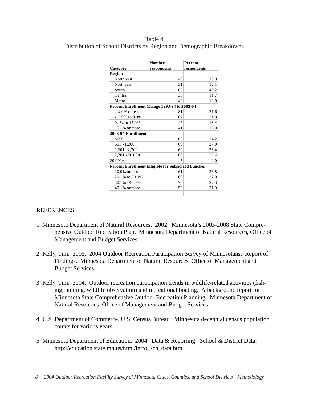Table 4 Distribution of School Districts by Region and Demographic Breakdowns

|                                                            | <b>Number</b> | <b>Percent</b> |
|------------------------------------------------------------|---------------|----------------|
| Category                                                   | respondents   | respondents    |
| <b>Region</b>                                              |               |                |
| Northwest                                                  | 46            | 18.0           |
| Northeast                                                  | 31            | 12.1           |
| South                                                      | 103           | 40.2           |
| Central                                                    | 30            | 11.7           |
| Metro                                                      | 46            | 18.0           |
| Percent Enrollment Change 1993-94 to 2003-04               |               |                |
| $-14.0\%$ or less                                          | 81            | 31.6           |
| $-13.9\%$ to 0.0%                                          | 87            | 34.0           |
| $0.1\%$ to 15.0%                                           | 47            | 18.4           |
| 15.1% or more                                              | 41            | 16.0           |
| 2003-04 Enrollment                                         |               |                |
| <650                                                       | 62            | 24.2           |
| $651 - 1,200$                                              | 69            | 27.0           |
| $1,201 - 2,700$                                            | 60            | 23.4           |
| 2,701 - 20,000                                             | 60            | 23.4           |
| $20.001+$                                                  | 5             | 2.0            |
| <b>Percent Enrollment Elligible for Subsidized Lunches</b> |               |                |
| $20.0\%$ or less                                           | 61            | 23.8           |
| 20.1% to 30.0%                                             | 69            | 27.0           |
| $30.1\% - 40.0\%$                                          | 70            | 27.3           |
| $40.1\%$ or more                                           | 56            | 21.9           |
|                                                            |               |                |

## REFERENCES

- 1. Minnesota Department of Natural Resources. 2002. Minnesota's 2003-2008 State Comprehensive Outdoor Recreation Plan. Minnesota Department of Natural Resources, Office of Management and Budget Services.
- 2. Kelly, Tim. 2005. 2004 Outdoor Recreation Participation Survey of Minnesotans. Report of Findings. Minnesota Department of Natural Resources, Office of Management and Budget Services.
- 3. Kelly, Tim. 2004. Outdoor recreation participation trends in wildlife-related activities (fishing, hunting, wildlife observation) and recreational boating. A background report for Minnesota State Comprehensive Outdoor Recreation Planning. Minnesota Department of Natural Resources, Office of Management and Budget Services.
- 4. U.S. Department of Commerce, U.S. Census Bureau. Minnesota decennial census population counts for various years.
- 5. Minnesota Department of Education. 2004. Data & Reporting. School & District Data. http://education.state.mn.us/html/intro\_sch\_data.htm.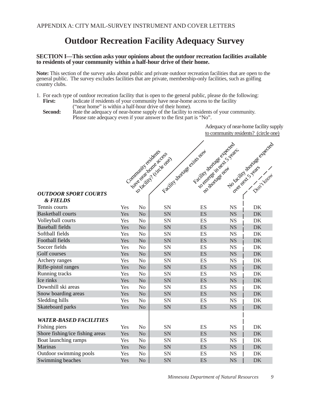## **Outdoor Recreation Facility Adequacy Survey**

#### **SECTION I—This section asks your opinions about the outdoor recreation facilities available to residents of your community within a half-hour drive of their home.**

**Note:** This section of the survey asks about public and private outdoor recreation facilities that are open to the general public. The survey excludes facilities that are private, membership-only facilities, such as golfing country clubs.

- 1. For each type of outdoor recreation facility that is open to the general public, please do the following: First: Indicate if residents of your community have near-home access to the facility
	- ("near home" is within a half-hour drive of their home).
	- **Second:** Rate the adequacy of near-home supply of the facility to residents of your community. Please rate adequacy even if your answer to the first part is "No".

Adequacy of near-home facility supply to community residents? (circle one)

|                                 |     | Community residents | Facility stortage exists now<br>maie near indire access | Facility shortees expected<br>to emerge in next 5 years. |           | To facility showered strected  |
|---------------------------------|-----|---------------------|---------------------------------------------------------|----------------------------------------------------------|-----------|--------------------------------|
|                                 |     |                     | to racitival . Circle ones                              |                                                          |           |                                |
|                                 |     |                     |                                                         |                                                          |           |                                |
|                                 |     |                     |                                                         |                                                          |           |                                |
|                                 |     |                     |                                                         | Ro Stortage now                                          |           | over next syeals<br>Don't Know |
|                                 |     |                     |                                                         |                                                          |           |                                |
| <b>OUTDOOR SPORT COURTS</b>     |     |                     |                                                         |                                                          |           |                                |
| <b>&amp; FIELDS</b>             |     |                     |                                                         |                                                          |           |                                |
| Tennis courts                   | Yes | N <sub>o</sub>      | SN                                                      | ES                                                       | <b>NS</b> | DK                             |
| <b>Basketball courts</b>        | Yes | No                  | SN                                                      | ES                                                       | <b>NS</b> | <b>DK</b>                      |
| Volleyball courts               | Yes | N <sub>o</sub>      | SN                                                      | ES                                                       | <b>NS</b> | DK                             |
| <b>Baseball fields</b>          | Yes | N <sub>o</sub>      | <b>SN</b>                                               | ES                                                       | <b>NS</b> | <b>DK</b>                      |
| Softball fields                 | Yes | N <sub>o</sub>      | SN                                                      | ES                                                       | <b>NS</b> | DK                             |
| Football fields                 | Yes | N <sub>o</sub>      | <b>SN</b>                                               | ES                                                       | <b>NS</b> | <b>DK</b>                      |
| Soccer fields                   | Yes | N <sub>o</sub>      | SN                                                      | ES                                                       | <b>NS</b> | DK                             |
| Golf courses                    | Yes | No                  | SN                                                      | ES                                                       | <b>NS</b> | <b>DK</b>                      |
| Archery ranges                  | Yes | No                  | SN                                                      | ES                                                       | <b>NS</b> | DK                             |
| Rifle-pistol ranges             | Yes | No                  | <b>SN</b>                                               | ES                                                       | <b>NS</b> | <b>DK</b>                      |
| Running tracks                  | Yes | N <sub>o</sub>      | SN                                                      | ES                                                       | <b>NS</b> | DK                             |
| Ice rinks                       | Yes | N <sub>o</sub>      | <b>SN</b>                                               | ES                                                       | <b>NS</b> | <b>DK</b>                      |
| Downhill ski areas              | Yes | N <sub>o</sub>      | SN                                                      | ES                                                       | <b>NS</b> | DK                             |
| Snow boarding areas             | Yes | No                  | SN                                                      | ES                                                       | <b>NS</b> | <b>DK</b>                      |
| Sledding hills                  | Yes | N <sub>o</sub>      | SN                                                      | ES                                                       | <b>NS</b> | DK                             |
| Skateboard parks                | Yes | N <sub>o</sub>      | SN                                                      | ES                                                       | <b>NS</b> | <b>DK</b>                      |
|                                 |     |                     |                                                         |                                                          |           |                                |
| <b>WATER-BASED FACILITIES</b>   |     |                     |                                                         |                                                          |           |                                |
| Fishing piers                   | Yes | N <sub>o</sub>      | SN                                                      | ES                                                       | <b>NS</b> | DK                             |
| Shore fishing/ice fishing areas | Yes | No                  | SN                                                      | ES                                                       | <b>NS</b> | <b>DK</b>                      |
| Boat launching ramps            | Yes | N <sub>0</sub>      | SN                                                      | ES                                                       | <b>NS</b> | DK                             |
| Marinas                         | Yes | N <sub>o</sub>      | <b>SN</b>                                               | ES                                                       | <b>NS</b> | <b>DK</b>                      |
| Outdoor swimming pools          | Yes | N <sub>o</sub>      | SN                                                      | ES                                                       | <b>NS</b> | DK                             |
| Swimming beaches                | Yes | No                  | <b>SN</b>                                               | ES                                                       | <b>NS</b> | <b>DK</b>                      |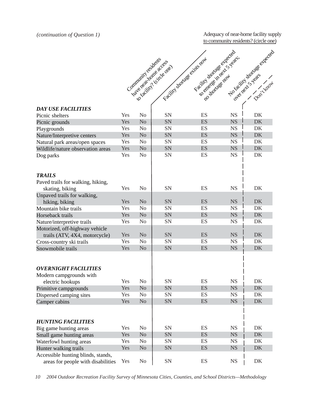*(continuation of Question 1)*

Adequacy of near-home facility supply to community residents? (circle one)

| No recitor showered streeted |
|------------------------------|
|                              |
|                              |
|                              |
|                              |
|                              |
|                              |
|                              |
|                              |
|                              |
|                              |
|                              |
|                              |
|                              |
|                              |
|                              |
|                              |
|                              |
|                              |
|                              |
|                              |
|                              |
|                              |
|                              |
|                              |
|                              |
|                              |
|                              |
|                              |
|                              |
|                              |
|                              |
|                              |
|                              |
|                              |
|                              |
|                              |
|                              |
|                              |
|                              |
|                              |
|                              |
|                              |
|                              |
|                              |
|                              |
|                              |
|                              |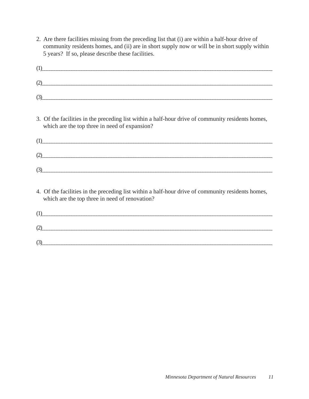2. Are there facilities missing from the preceding list that (i) are within a half-hour drive of community residents homes, and (ii) are in short supply now or will be in short supply within 5 years? If so, please describe these facilities.

| (1)                                                                                                                                                                                                                                                                                                                                                                |
|--------------------------------------------------------------------------------------------------------------------------------------------------------------------------------------------------------------------------------------------------------------------------------------------------------------------------------------------------------------------|
| (2)                                                                                                                                                                                                                                                                                                                                                                |
| $\frac{1}{2}$                                                                                                                                                                                                                                                                                                                                                      |
| 3. Of the facilities in the preceding list within a half-hour drive of community residents homes,<br>which are the top three in need of expansion?                                                                                                                                                                                                                 |
| $\begin{picture}(10,10)(0,0) \put(0,0){\vector(1,0){100}} \put(10,0){\vector(1,0){100}} \put(10,0){\vector(1,0){100}} \put(10,0){\vector(1,0){100}} \put(10,0){\vector(1,0){100}} \put(10,0){\vector(1,0){100}} \put(10,0){\vector(1,0){100}} \put(10,0){\vector(1,0){100}} \put(10,0){\vector(1,0){100}} \put(10,0){\vector(1,0){100}} \put(10,0){\vector(1,0){1$ |
| (2)                                                                                                                                                                                                                                                                                                                                                                |
| $\tag{3}$                                                                                                                                                                                                                                                                                                                                                          |
| 4. Of the feelities in the preseding list within a helf hour drive of community residents homes                                                                                                                                                                                                                                                                    |

4. Of the facilities in the preceding list within a half-hour drive of community residents homes, which are the top three in need of renovation?

| $\mathbf{I}$ |  |  |
|--------------|--|--|
| Μ<br>∼       |  |  |
| . .<br>∽     |  |  |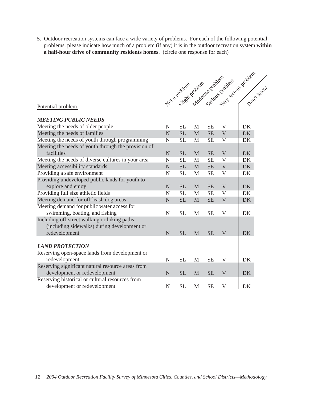5. Outdoor recreation systems can face a wide variety of problems. For each of the following potential problems, please indicate how much of a problem (if any) it is in the outdoor recreation system **within a half-hour drive of community residents homes**. (circle one response for each)

|                                                     |             |           |             |           |                           | Not a problem probente stablem developed problem |
|-----------------------------------------------------|-------------|-----------|-------------|-----------|---------------------------|--------------------------------------------------|
|                                                     |             |           |             |           |                           | Don't Knox                                       |
|                                                     |             |           |             |           |                           |                                                  |
| Potential problem                                   |             |           |             |           |                           |                                                  |
|                                                     |             |           |             |           |                           |                                                  |
| <b>MEETING PUBLIC NEEDS</b>                         |             |           |             |           |                           |                                                  |
| Meeting the needs of older people                   | $\mathbf N$ | <b>SL</b> | M           | <b>SE</b> | $\mathbf{V}$              | DK                                               |
| Meeting the needs of families                       | N           | <b>SL</b> | M           | <b>SE</b> | $\mathbf V$               | <b>DK</b>                                        |
| Meeting the needs of youth through programming      | N           | <b>SL</b> | M           | <b>SE</b> | $\overline{\mathsf{V}}$   | <b>DK</b>                                        |
| Meeting the needs of youth through the provision of |             |           |             |           |                           |                                                  |
| facilities                                          | $\mathbf N$ | <b>SL</b> | M           | <b>SE</b> | $\mathbf V$               | <b>DK</b>                                        |
| Meeting the needs of diverse cultures in your area  | N           | <b>SL</b> | M           | <b>SE</b> | V                         | DK                                               |
| Meeting accessibility standards                     | $\mathbf N$ | <b>SL</b> | M           | <b>SE</b> | $\mathbf V$               | <b>DK</b>                                        |
| Providing a safe environment                        | N           | <b>SL</b> | M           | <b>SE</b> | V                         | DK                                               |
| Providing undeveloped public lands for youth to     |             |           |             |           |                           |                                                  |
| explore and enjoy                                   | $\mathbf N$ | <b>SL</b> | M           | <b>SE</b> | $\mathbf V$               | <b>DK</b>                                        |
| Providing full size athletic fields                 | N           | <b>SL</b> | M           | <b>SE</b> | $\mathbf{V}$              | DK                                               |
| Meeting demand for off-leash dog areas              | $\mathbb N$ | <b>SL</b> | $\mathbf M$ | <b>SE</b> | $\boldsymbol{\mathrm{V}}$ | DK                                               |
| Meeting demand for public water access for          |             |           |             |           |                           |                                                  |
| swimming, boating, and fishing                      | $\mathbf N$ | <b>SL</b> | M           | <b>SE</b> | V                         | DK                                               |
| Including off-street walking or biking paths        |             |           |             |           |                           |                                                  |
| (including sidewalks) during development or         |             |           |             |           |                           |                                                  |
| redevelopment                                       | $\mathbf N$ | <b>SL</b> | M           | <b>SE</b> | $\mathbf{V}$              | <b>DK</b>                                        |
|                                                     |             |           |             |           |                           |                                                  |
| <b>LAND PROTECTION</b>                              |             |           |             |           |                           |                                                  |
| Reserving open-space lands from development or      |             |           |             |           |                           |                                                  |
| redevelopment                                       | ${\bf N}$   | <b>SL</b> | $\mathbf M$ | <b>SE</b> | $\mathbf V$               | DK                                               |
| Reserving significant natural resource areas from   |             |           |             |           |                           |                                                  |
| development or redevelopment                        | $\mathbf N$ | <b>SL</b> | M           | <b>SE</b> | V                         | DK                                               |
| Reserving historical or cultural resources from     |             |           |             |           |                           |                                                  |
| development or redevelopment                        | $\mathbf N$ | <b>SL</b> | M           | <b>SE</b> | $\mathbf{V}$              | DK                                               |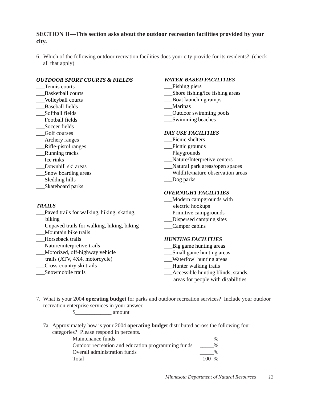## **SECTION II—This section asks about the outdoor recreation facilities provided by your city.**

6. Which of the following outdoor recreation facilities does your city provide for its residents? (check all that apply)

#### *OUTDOOR SPORT COURTS & FIELDS*

- \_\_\_Tennis courts
- \_\_\_Basketball courts
- \_\_\_Volleyball courts
- \_\_\_Baseball fields
- \_\_\_Softball fields
- Football fields \_\_\_Soccer fields
- \_\_\_Golf courses
- \_\_\_Archery ranges
- \_\_\_Rifle-pistol ranges
- \_\_\_Running tracks
- \_\_\_Ice rinks
- \_\_\_Downhill ski areas
- \_\_\_Snow boarding areas
- \_\_\_Sledding hills
- \_\_\_Skateboard parks

#### *TRAILS*

- \_\_\_Paved trails for walking, hiking, skating, biking
- \_\_\_Unpaved trails for walking, hiking, biking
- \_\_\_Mountain bike trails
- \_\_\_Horseback trails
- Nature/interpretive trails
- \_\_\_Motorized, off-highway vehicle
- trails (ATV, 4X4, motorcycle)
- \_\_\_Cross-country ski trails
- \_\_\_Snowmobile trails

#### *WATER-BASED FACILITIES*

- Fishing piers
- \_\_\_Shore fishing/ice fishing areas
- \_\_\_Boat launching ramps
- \_\_\_Marinas
- \_\_\_Outdoor swimming pools
- \_\_\_Swimming beaches

#### *DAY USE FACILITIES*

- Picnic shelters
- \_\_\_Picnic grounds
- \_\_\_Playgrounds
- \_\_\_Nature/Interpretive centers
- \_\_\_Natural park areas/open spaces
- \_\_\_Wildlife/nature observation areas
- \_\_\_Dog parks

#### *OVERNIGHT FACILITIES*

- \_\_\_Modern campgrounds with
- electric hookups
- \_\_\_Primitive campgrounds
- Dispersed camping sites
- \_\_\_Camper cabins

#### *HUNTING FACILITIES*

- \_\_\_Big game hunting areas
- \_\_\_Small game hunting areas
- \_\_\_Waterfowl hunting areas
- \_\_\_Hunter walking trails
- \_\_\_Accessible hunting blinds, stands,
	- areas for people with disabilities
- 7. What is your 2004 **operating budget** for parks and outdoor recreation services? Include your outdoor recreation enterprise services in your answer.

 $\frac{\ }{2}$  amount

7a. Approximately how is your 2004 **operating budget** distributed across the following four categories? Please respond in percents.

| Maintenance funds                                  | %             |
|----------------------------------------------------|---------------|
| Outdoor recreation and education programming funds | $\frac{0}{0}$ |
| Overall administration funds                       | $\%$          |
| Total                                              | $100\%$       |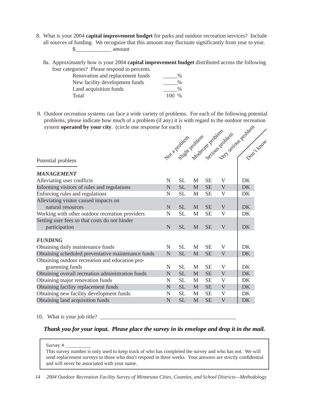8. What is your 2004 **capital improvement budget** for parks and outdoor recreation services? Include all sources of funding. We recognize that this amount may fluctuate significantly from year to year.  $\frac{\S_{\text{max}}}{\S_{\text{max}}}$  amount

8a. Approximately how is your 2004 **capital improvement budget** distributed across the following four categories? Please respond in percents.

| Renovation and replacement funds |         | $\%$ |
|----------------------------------|---------|------|
| New facility development funds   |         | $\%$ |
| Land acquisition funds           |         | $\%$ |
| Total                            | $100\%$ |      |

9. Outdoor recreation systems can face a wide variety of problems. For each of the following potential problems, please indicate how much of a problem (if any) it is with regard to the outdoor recreation system **operated by your city**. (circle one response for each)

| system <b>operated by your city</b> . (circle one response for each)<br>Not a problem problem stablem you see problem |             |           |   |           |              |             |  |  |  |
|-----------------------------------------------------------------------------------------------------------------------|-------------|-----------|---|-----------|--------------|-------------|--|--|--|
| Potential problem                                                                                                     |             |           |   |           |              | Don't Young |  |  |  |
| <b>MANAGEMENT</b>                                                                                                     |             |           |   |           |              |             |  |  |  |
| Alleviating user conflicts                                                                                            | N           | <b>SL</b> | M | SЕ        | V            | DK          |  |  |  |
| Informing visitors of rules and regulations                                                                           | N           | <b>SL</b> | M | <b>SE</b> | $\mathbf V$  | <b>DK</b>   |  |  |  |
| Enforcing rules and regulations                                                                                       | N           | <b>SL</b> | M | SЕ        | V            | DK          |  |  |  |
| Alleviating visitor caused impacts on                                                                                 |             |           |   |           |              |             |  |  |  |
| natural resources                                                                                                     | $\mathbf N$ | <b>SL</b> | M | <b>SE</b> | $\mathbf V$  | <b>DK</b>   |  |  |  |
| Working with other outdoor recreation providers                                                                       | N           | <b>SL</b> | M | <b>SE</b> | V            | DK          |  |  |  |
| Setting user fees so that costs do not hinder                                                                         |             |           |   |           |              |             |  |  |  |
| participation                                                                                                         | $\mathbf N$ | <b>SL</b> | M | <b>SE</b> | V            | <b>DK</b>   |  |  |  |
| <b>FUNDING</b>                                                                                                        |             |           |   |           |              |             |  |  |  |
| Obtaining daily maintenance funds                                                                                     | N           | <b>SL</b> | M | <b>SE</b> | V            | <b>DK</b>   |  |  |  |
| Obtaining scheduled preventative maintenance funds                                                                    | ${\bf N}$   | <b>SL</b> | M | <b>SE</b> | $\mathbf V$  | <b>DK</b>   |  |  |  |
| Obtaining outdoor recreation and education pro-                                                                       |             |           |   |           |              |             |  |  |  |
| gramming funds                                                                                                        | N           | <b>SL</b> | M | <b>SE</b> | V            | DK          |  |  |  |
| Obtaining overall recreation administration funds                                                                     | $\mathbf N$ | <b>SL</b> | M | <b>SE</b> | V            | <b>DK</b>   |  |  |  |
| Obtaining major renovation funds                                                                                      | N           | SL        | M | SЕ        | V            | DK          |  |  |  |
| Obtaining facility replacement funds                                                                                  | N           | <b>SL</b> | M | <b>SE</b> | $\mathbf{V}$ | <b>DK</b>   |  |  |  |
| Obtaining new facility development funds                                                                              | N           | <b>SL</b> | M | SЕ        | V            | DK          |  |  |  |
| Obtaining land acquisition funds                                                                                      | $\mathbf N$ | <b>SL</b> | M | <b>SE</b> | $\mathbf{V}$ | <b>DK</b>   |  |  |  |

## 10. What is your job title? \_\_\_\_\_\_\_\_\_\_\_\_\_\_\_\_\_\_\_\_\_\_\_\_\_\_\_\_\_\_\_\_\_\_\_\_\_\_\_\_\_\_\_\_\_\_\_\_\_

*Thank you for your input. Please place the survey in its envelope and drop it in the mail.*

#### Survey  $#_$

This survey number is only used to keep track of who has completed the survey and who has not. We will send replacement surveys to those who don't respond in three weeks. Your answers are strictly confidential and will never be associated with your name.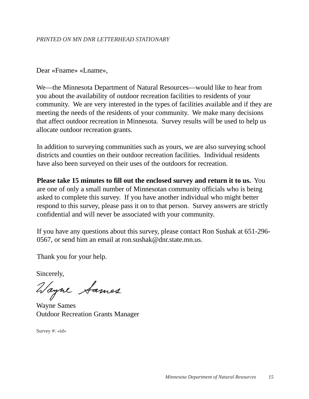Dear «Fname» «Lname»,

We—the Minnesota Department of Natural Resources—would like to hear from you about the availability of outdoor recreation facilities to residents of your community. We are very interested in the types of facilities available and if they are meeting the needs of the residents of your community. We make many decisions that affect outdoor recreation in Minnesota. Survey results will be used to help us allocate outdoor recreation grants.

In addition to surveying communities such as yours, we are also surveying school districts and counties on their outdoor recreation facilities. Individual residents have also been surveyed on their uses of the outdoors for recreation.

**Please take 15 minutes to fill out the enclosed survey and return it to us.** You are one of only a small number of Minnesotan community officials who is being asked to complete this survey. If you have another individual who might better respond to this survey, please pass it on to that person. Survey answers are strictly confidential and will never be associated with your community.

If you have any questions about this survey, please contact Ron Sushak at 651-296- 0567, or send him an email at ron.sushak@dnr.state.mn.us.

Thank you for your help.

Sincerely,

Wayne Sames

Outdoor Recreation Grants Manager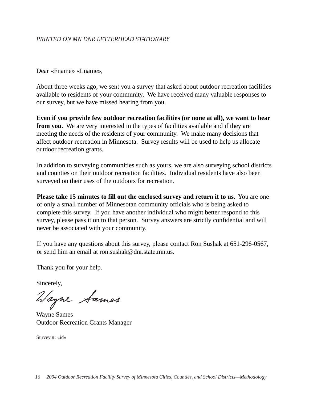Dear «Fname» «Lname»,

About three weeks ago, we sent you a survey that asked about outdoor recreation facilities available to residents of your community. We have received many valuable responses to our survey, but we have missed hearing from you.

**Even if you provide few outdoor recreation facilities (or none at all), we want to hear from you.** We are very interested in the types of facilities available and if they are meeting the needs of the residents of your community. We make many decisions that affect outdoor recreation in Minnesota. Survey results will be used to help us allocate outdoor recreation grants.

In addition to surveying communities such as yours, we are also surveying school districts and counties on their outdoor recreation facilities. Individual residents have also been surveyed on their uses of the outdoors for recreation.

**Please take 15 minutes to fill out the enclosed survey and return it to us.** You are one of only a small number of Minnesotan community officials who is being asked to complete this survey. If you have another individual who might better respond to this survey, please pass it on to that person. Survey answers are strictly confidential and will never be associated with your community.

If you have any questions about this survey, please contact Ron Sushak at 651-296-0567, or send him an email at ron.sushak@dnr.state.mn.us.

Thank you for your help.

Sincerely,

Vayne Sames

Wayne Sames Outdoor Recreation Grants Manager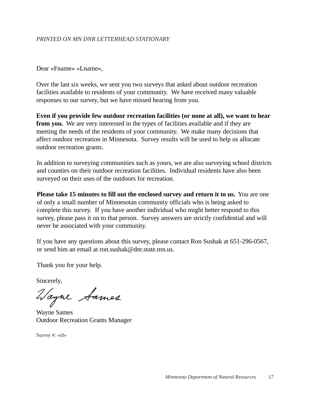Dear «Fname» «Lname»,

Over the last six weeks, we sent you two surveys that asked about outdoor recreation facilities available to residents of your community. We have received many valuable responses to our survey, but we have missed hearing from you.

**Even if you provide few outdoor recreation facilities (or none at all), we want to hear from you.** We are very interested in the types of facilities available and if they are meeting the needs of the residents of your community. We make many decisions that affect outdoor recreation in Minnesota. Survey results will be used to help us allocate outdoor recreation grants.

In addition to surveying communities such as yours, we are also surveying school districts and counties on their outdoor recreation facilities. Individual residents have also been surveyed on their uses of the outdoors for recreation.

**Please take 15 minutes to fill out the enclosed survey and return it to us.** You are one of only a small number of Minnesotan community officials who is being asked to complete this survey. If you have another individual who might better respond to this survey, please pass it on to that person. Survey answers are strictly confidential and will never be associated with your community.

If you have any questions about this survey, please contact Ron Sushak at 651-296-0567, or send him an email at ron.sushak@dnr.state.mn.us.

Thank you for your help.

Sincerely,

Wayne Sames

Wayne Sames Outdoor Recreation Grants Manager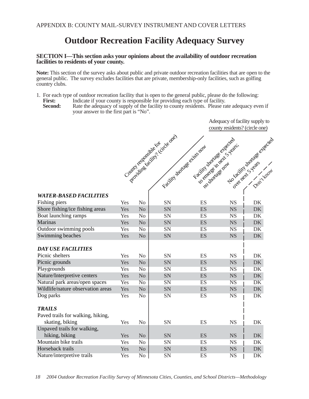## **Outdoor Recreation Facility Adequacy Survey**

#### **SECTION I—This section asks your opinions about the availability of outdoor recreation facilities to residents of your county.**

**Note:** This section of the survey asks about public and private outdoor recreation facilities that are open to the general public. The survey excludes facilities that are private, membership-only facilities, such as golfing country clubs.

- 1. For each type of outdoor recreation facility that is open to the general public, please do the following:<br>First: Indicate if your county is responsible for providing each type of facility.
	- **Second:** Rate the adequacy of supply of the facility to county residents. Please rate adequacy even if your answer to the first part is "No".

Adequacy of facility supply to county residents? (circle one)

|                                   |     |                | Providing Eaclity, Gircle one)<br>Compt responsible for | Facility sportage expected    |           | No racitive states expected |
|-----------------------------------|-----|----------------|---------------------------------------------------------|-------------------------------|-----------|-----------------------------|
|                                   |     |                | Facility storage exists now                             | Lo emerge minerity of Jersey. |           |                             |
|                                   |     |                |                                                         |                               |           |                             |
|                                   |     |                |                                                         | TO Stortage now               |           |                             |
|                                   |     |                |                                                         |                               |           |                             |
|                                   |     |                |                                                         |                               |           |                             |
|                                   |     |                |                                                         |                               |           |                             |
| <b>WATER-BASED FACILITIES</b>     |     |                |                                                         |                               |           |                             |
| Fishing piers                     | Yes | N <sub>o</sub> | SN                                                      | ES                            | <b>NS</b> | DK                          |
| Shore fishing/ice fishing areas   | Yes | N <sub>o</sub> | SN                                                      | <b>ES</b>                     | <b>NS</b> | <b>DK</b>                   |
| Boat launching ramps              | Yes | N <sub>o</sub> | SN                                                      | ES                            | <b>NS</b> | DK                          |
| Marinas                           | Yes | N <sub>o</sub> | SN                                                      | <b>ES</b>                     | <b>NS</b> | <b>DK</b>                   |
| Outdoor swimming pools            | Yes | N <sub>o</sub> | SN                                                      | <b>ES</b>                     | <b>NS</b> | DK                          |
| Swimming beaches                  | Yes | N <sub>o</sub> | SN                                                      | <b>ES</b>                     | <b>NS</b> | DK                          |
|                                   |     |                |                                                         |                               |           |                             |
| <b>DAY USE FACILITIES</b>         |     |                |                                                         |                               |           |                             |
| Picnic shelters                   | Yes | N <sub>o</sub> | <b>SN</b>                                               | ES                            | <b>NS</b> | DK                          |
| Picnic grounds                    | Yes | N <sub>o</sub> | SN                                                      | <b>ES</b>                     | <b>NS</b> | <b>DK</b>                   |
| Playgrounds                       | Yes | N <sub>o</sub> | SN                                                      | <b>ES</b>                     | <b>NS</b> | <b>DK</b>                   |
| Nature/Interpretive centers       | Yes | N <sub>o</sub> | SN                                                      | <b>ES</b>                     | <b>NS</b> | <b>DK</b>                   |
| Natural park areas/open spaces    | Yes | N <sub>o</sub> | SN                                                      | <b>ES</b>                     | <b>NS</b> | <b>DK</b>                   |
| Wildlife/nature observation areas | Yes | N <sub>o</sub> | SN                                                      | <b>ES</b>                     | <b>NS</b> | <b>DK</b>                   |
| Dog parks                         | Yes | N <sub>o</sub> | SN                                                      | <b>ES</b>                     | <b>NS</b> | DK                          |
|                                   |     |                |                                                         |                               |           |                             |
| <b>TRAILS</b>                     |     |                |                                                         |                               |           |                             |
| Paved trails for walking, hiking, |     |                |                                                         |                               |           |                             |
| skating, biking                   | Yes | N <sub>o</sub> | SN                                                      | <b>ES</b>                     | <b>NS</b> | DK                          |
| Unpaved trails for walking,       |     |                |                                                         |                               |           |                             |
| hiking, biking                    | Yes | N <sub>o</sub> | SN                                                      | <b>ES</b>                     | <b>NS</b> | <b>DK</b>                   |
| Mountain bike trails              | Yes | N <sub>o</sub> | SN                                                      | ES                            | <b>NS</b> | DK                          |
| Horseback trails                  | Yes | N <sub>o</sub> | SN                                                      | <b>ES</b>                     | <b>NS</b> | <b>DK</b>                   |
| Nature/interpretive trails        | Yes | N <sub>o</sub> | SN                                                      | ES                            | <b>NS</b> | <b>DK</b>                   |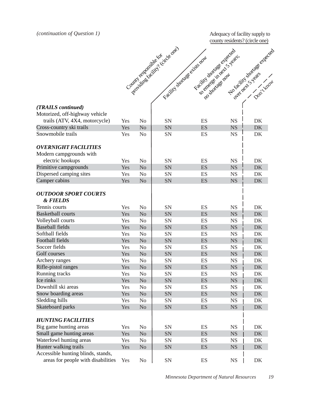*(continuation of Question 1)*

|                                    |            |                      | Providing testamental circle one) | Facility shortage expected   |                        | No reciting that as expected |
|------------------------------------|------------|----------------------|-----------------------------------|------------------------------|------------------------|------------------------------|
|                                    |            |                      | Facility storage enjoyed now      | Lo entrenge in rent 5 years. |                        |                              |
|                                    |            |                      |                                   |                              |                        |                              |
|                                    |            |                      |                                   | TO STOKES DOWN               |                        | Don't Know                   |
|                                    |            |                      |                                   |                              |                        |                              |
|                                    |            |                      |                                   |                              |                        |                              |
|                                    |            |                      |                                   |                              |                        |                              |
| (TRAILS continued)                 |            |                      |                                   |                              |                        |                              |
| Motorized, off-highway vehicle     |            |                      |                                   |                              |                        |                              |
| trails (ATV, 4X4, motorcycle)      | Yes        | N <sub>0</sub>       | SN                                | ES                           | <b>NS</b>              | DK                           |
| Cross-country ski trails           | Yes        | N <sub>o</sub>       | SN                                | ES                           | <b>NS</b>              | DK                           |
| Snowmobile trails                  | Yes        | N <sub>o</sub>       | SN                                | ES                           | <b>NS</b>              | DK                           |
| <b>OVERNIGHT FACILITIES</b>        |            |                      |                                   |                              |                        |                              |
| Modern campgrounds with            |            |                      |                                   |                              |                        |                              |
| electric hookups                   | Yes        | N <sub>o</sub>       | SN                                | ES                           | <b>NS</b>              | DK                           |
| Primitive campgrounds              | Yes        | N <sub>o</sub>       | SN                                | ES                           | <b>NS</b>              | <b>DK</b>                    |
| Dispersed camping sites            | Yes        | N <sub>o</sub>       | SN                                | ES                           | <b>NS</b>              | DK                           |
| Camper cabins                      | Yes        | N <sub>o</sub>       | SN                                | ES                           | <b>NS</b>              | DK                           |
|                                    |            |                      |                                   |                              |                        |                              |
| <b>OUTDOOR SPORT COURTS</b>        |            |                      |                                   |                              |                        |                              |
| <b>&amp; FIELDS</b>                |            |                      |                                   |                              |                        |                              |
| Tennis courts                      | Yes        | N <sub>o</sub>       | SN                                | ES                           | <b>NS</b>              | DK                           |
| <b>Basketball courts</b>           | Yes        | N <sub>o</sub>       | SN                                | ES                           | <b>NS</b>              | <b>DK</b>                    |
| Volleyball courts                  | Yes        | N <sub>o</sub>       | SN                                | ES                           | <b>NS</b>              | DK                           |
| <b>Baseball fields</b>             | Yes        | N <sub>o</sub>       | SN                                | <b>ES</b>                    | <b>NS</b>              | <b>DK</b>                    |
| Softball fields                    | Yes        | N <sub>o</sub>       | SN                                | ES                           | <b>NS</b>              | DK                           |
| Football fields                    | Yes        | N <sub>o</sub>       | <b>SN</b>                         | <b>ES</b>                    | <b>NS</b>              | <b>DK</b>                    |
| Soccer fields                      | Yes        | N <sub>o</sub>       | SN                                | ES                           | <b>NS</b>              | DK                           |
| Golf courses                       | Yes        | N <sub>o</sub>       | SN                                | <b>ES</b>                    | <b>NS</b>              | <b>DK</b>                    |
| Archery ranges                     | Yes        | No                   | SN                                | ES                           | <b>NS</b>              | DK                           |
| Rifle-pistol ranges                | Yes        | N <sub>o</sub>       | SN                                | ES                           | <b>NS</b>              | <b>DK</b>                    |
| Running tracks<br>Ice rinks        | Yes        | No                   | SN                                | ES                           | <b>NS</b>              | DK                           |
| Downhill ski areas                 | Yes        | No                   | SN                                | <b>ES</b>                    | <b>NS</b>              | DK                           |
| Snow boarding areas                | Yes        | N <sub>0</sub><br>No | SN<br>SN                          | ES                           | <b>NS</b>              | DK                           |
| Sledding hills                     | Yes<br>Yes | No                   | SN                                | ES<br><b>ES</b>              | <b>NS</b><br><b>NS</b> | $\rm DK$<br>DK               |
| Skateboard parks                   | Yes        | No                   | SN                                | ES                           | <b>NS</b>              | $DK$                         |
|                                    |            |                      |                                   |                              |                        |                              |
| <b>HUNTING FACILITIES</b>          |            |                      |                                   |                              |                        |                              |
| Big game hunting areas             | Yes        | N <sub>0</sub>       | SN                                | ES                           | <b>NS</b>              | DK                           |
| Small game hunting areas           | Yes        | No                   | SN                                | <b>ES</b>                    | <b>NS</b>              | DK                           |
| Waterfowl hunting areas            | Yes        | N <sub>0</sub>       | SN                                | ES                           | <b>NS</b>              | DK                           |
| Hunter walking trails              | Yes        | No                   | SN                                | <b>ES</b>                    | <b>NS</b>              | DK                           |
| Accessible hunting blinds, stands, |            |                      |                                   |                              |                        |                              |
| areas for people with disabilities | Yes        | No                   | ${\rm SN}$                        | ES                           | <b>NS</b>              | DK                           |

Adequacy of facility supply to county residents? (circle one)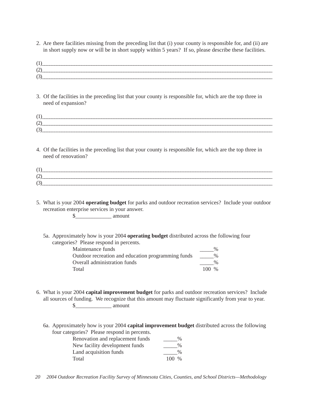2. Are there facilities missing from the preceding list that (i) your county is responsible for, and (ii) are in short supply now or will be in short supply within 5 years? If so, please describe these facilities.

3. Of the facilities in the preceding list that your county is responsible for, which are the top three in need of expansion?

4. Of the facilities in the preceding list that your county is responsible for, which are the top three in need of renovation?

5. What is your 2004 **operating budget** for parks and outdoor recreation services? Include your outdoor recreation enterprise services in your answer.

\$\_\_\_\_\_\_\_\_\_\_\_\_\_ amount

5a. Approximately how is your 2004 **operating budget** distributed across the following four categories? Please respond in percents.

| Maintenance funds                                  |         | $\%$ |
|----------------------------------------------------|---------|------|
| Outdoor recreation and education programming funds |         | $\%$ |
| Overall administration funds                       |         | 0/2  |
| Total                                              | $100\%$ |      |

6. What is your 2004 **capital improvement budget** for parks and outdoor recreation services? Include all sources of funding. We recognize that this amount may fluctuate significantly from year to year.  $\frac{\S_{\text{max}}}{\S_{\text{max}}}$  amount

6a. Approximately how is your 2004 **capital improvement budget** distributed across the following four categories? Please respond in percents.

| Renovation and replacement funds |         | $\%$ |
|----------------------------------|---------|------|
| New facility development funds   |         | $\%$ |
| Land acquisition funds           |         | $\%$ |
| Total                            | $100\%$ |      |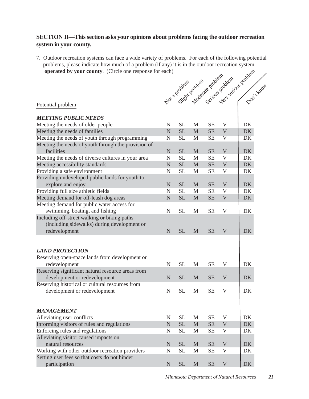## **SECTION II—This section asks your opinions about problems facing the outdoor recreation system in your county.**

7. Outdoor recreation systems can face a wide variety of problems. For each of the following potential problems, please indicate how much of a problem (if any) it is in the outdoor recreation system **operated by your county**. (Circle one response for each)

| <b>operated by your county.</b> (Circle one response for each) |                |           |              |           |                           |                                                               |  |
|----------------------------------------------------------------|----------------|-----------|--------------|-----------|---------------------------|---------------------------------------------------------------|--|
|                                                                |                |           |              |           |                           |                                                               |  |
|                                                                |                |           |              |           |                           | Don't know                                                    |  |
|                                                                |                |           |              |           |                           |                                                               |  |
| Potential problem                                              |                |           |              |           |                           | Note 3 Principle of the problem of the problem of the problem |  |
| <b>MEETING PUBLIC NEEDS</b>                                    |                |           |              |           |                           |                                                               |  |
| Meeting the needs of older people                              | $\mathbf N$    | <b>SL</b> | M            | <b>SE</b> | V                         | DK                                                            |  |
| Meeting the needs of families                                  | ${\bf N}$      | <b>SL</b> | M            | <b>SE</b> | $\mathbf V$               | <b>DK</b>                                                     |  |
| Meeting the needs of youth through programming                 | $\overline{N}$ | SL        | M            | <b>SE</b> | $\overline{\mathsf{V}}$   | DK                                                            |  |
| Meeting the needs of youth through the provision of            |                |           |              |           |                           |                                                               |  |
| facilities                                                     | $\mathbf N$    | <b>SL</b> | M            | <b>SE</b> | V                         | <b>DK</b>                                                     |  |
| Meeting the needs of diverse cultures in your area             | $\mathbf N$    | <b>SL</b> | M            | <b>SE</b> | V                         | DK                                                            |  |
| Meeting accessibility standards                                | $\mathbf N$    | <b>SL</b> | M            | <b>SE</b> | V                         | DK                                                            |  |
| Providing a safe environment                                   | $\mathbf N$    | <b>SL</b> | M            | <b>SE</b> | $\mathbf V$               | DK                                                            |  |
| Providing undeveloped public lands for youth to                |                |           |              |           |                           |                                                               |  |
| explore and enjoy                                              | $\mathbf N$    | <b>SL</b> | $\mathbf{M}$ | <b>SE</b> | $\mathbf V$               | DK                                                            |  |
| Providing full size athletic fields                            | $\mathbf N$    | <b>SL</b> | M            | <b>SE</b> | V                         | DK                                                            |  |
| Meeting demand for off-leash dog areas                         | ${\bf N}$      | <b>SL</b> | $\mathbf M$  | <b>SE</b> | $\mathbf V$               | DK                                                            |  |
| Meeting demand for public water access for                     |                |           |              |           |                           |                                                               |  |
| swimming, boating, and fishing                                 | N              | <b>SL</b> | M            | <b>SE</b> | $\mathbf V$               | DK                                                            |  |
| Including off-street walking or biking paths                   |                |           |              |           |                           |                                                               |  |
| (including sidewalks) during development or                    |                |           |              |           |                           |                                                               |  |
| redevelopment                                                  | $\mathbf N$    | <b>SL</b> | $\mathbf{M}$ | <b>SE</b> | V                         | DK                                                            |  |
|                                                                |                |           |              |           |                           |                                                               |  |
|                                                                |                |           |              |           |                           |                                                               |  |
| <b>LAND PROTECTION</b>                                         |                |           |              |           |                           |                                                               |  |
| Reserving open-space lands from development or                 |                |           |              |           |                           |                                                               |  |
| redevelopment                                                  | N              | <b>SL</b> | M            | <b>SE</b> | V                         | DK                                                            |  |
| Reserving significant natural resource areas from              |                |           |              |           |                           |                                                               |  |
| development or redevelopment                                   | N              | <b>SL</b> | $\mathbf{M}$ | <b>SE</b> | $\mathbf V$               | DK                                                            |  |
| Reserving historical or cultural resources from                |                |           |              |           |                           |                                                               |  |
| development or redevelopment                                   | N              | <b>SL</b> | M            | <b>SE</b> | V                         | DK                                                            |  |
|                                                                |                |           |              |           |                           |                                                               |  |
| <b>MANAGEMENT</b>                                              |                |           |              |           |                           |                                                               |  |
| Alleviating user conflicts                                     | $\mathbf N$    | SL        | M            | <b>SE</b> | V                         | DK                                                            |  |
| Informing visitors of rules and regulations                    | $\mathbf N$    | <b>SL</b> | $\mathbf M$  | <b>SE</b> | $\mathbf V$               | <b>DK</b>                                                     |  |
| Enforcing rules and regulations                                | $\mathbf N$    | <b>SL</b> | M            | <b>SE</b> | V                         | DK                                                            |  |
| Alleviating visitor caused impacts on                          |                |           |              |           |                           |                                                               |  |
| natural resources                                              | N              | <b>SL</b> | $\mathbf{M}$ | <b>SE</b> | $\mathbf V$               | <b>DK</b>                                                     |  |
| Working with other outdoor recreation providers                | N              | <b>SL</b> | M            | <b>SE</b> | V                         | DK                                                            |  |
| Setting user fees so that costs do not hinder                  |                |           |              |           |                           |                                                               |  |
| participation                                                  | $\mathbf N$    | <b>SL</b> | M            | <b>SE</b> | $\boldsymbol{\mathrm{V}}$ | DK                                                            |  |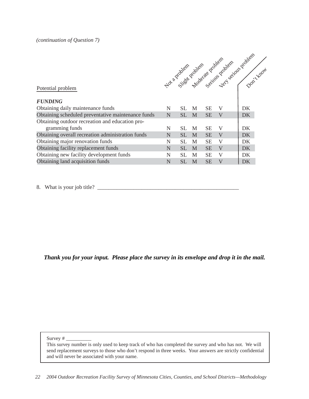#### *(continuation of Question 7)*

|                                                    |   |           |              |           |   | Note problem problem stroken degrees problem |  |
|----------------------------------------------------|---|-----------|--------------|-----------|---|----------------------------------------------|--|
| Potential problem                                  |   |           |              |           |   |                                              |  |
| <b>FUNDING</b>                                     |   |           |              |           |   |                                              |  |
| Obtaining daily maintenance funds                  | N | SL.       | M            | <b>SE</b> | V | DK                                           |  |
| Obtaining scheduled preventative maintenance funds | N | SL        | $\mathbf{M}$ | <b>SE</b> | V | DK                                           |  |
| Obtaining outdoor recreation and education pro-    |   |           |              |           |   |                                              |  |
| gramming funds                                     | N | SL.       | M            | <b>SE</b> | V | DK                                           |  |
| Obtaining overall recreation administration funds  | N | <b>SL</b> | M            | <b>SE</b> | V | <b>DK</b>                                    |  |
| Obtaining major renovation funds                   | N | SL        | M            | <b>SE</b> | V | DK                                           |  |
| Obtaining facility replacement funds               | N | <b>SL</b> | M            | <b>SE</b> | V | DK                                           |  |
| Obtaining new facility development funds           | N | SL        | M            | <b>SE</b> | V | DK                                           |  |
| Obtaining land acquisition funds                   | N | SL        | M            | <b>SE</b> | V | <b>DK</b>                                    |  |

8. What is your job title?

*Thank you for your input. Please place the survey in its envelope and drop it in the mail.*

Survey  $#_$ 

This survey number is only used to keep track of who has completed the survey and who has not. We will send replacement surveys to those who don't respond in three weeks. Your answers are strictly confidential and will never be associated with your name.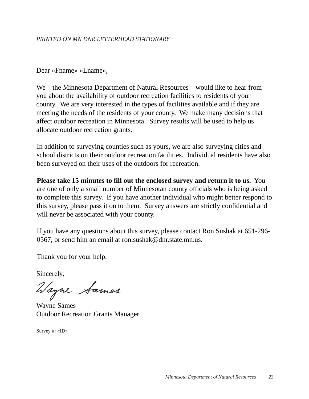Dear «Fname» «Lname»,

We—the Minnesota Department of Natural Resources—would like to hear from you about the availability of outdoor recreation facilities to residents of your county. We are very interested in the types of facilities available and if they are meeting the needs of the residents of your county. We make many decisions that affect outdoor recreation in Minnesota. Survey results will be used to help us allocate outdoor recreation grants.

In addition to surveying counties such as yours, we are also surveying cities and school districts on their outdoor recreation facilities. Individual residents have also been surveyed on their uses of the outdoors for recreation.

**Please take 15 minutes to fill out the enclosed survey and return it to us.** You are one of only a small number of Minnesotan county officials who is being asked to complete this survey. If you have another individual who might better respond to this survey, please pass it on to them. Survey answers are strictly confidential and will never be associated with your county.

If you have any questions about this survey, please contact Ron Sushak at 651-296- 0567, or send him an email at ron.sushak@dnr.state.mn.us.

Thank you for your help.

Sincerely,

Vayne Sames

Wayne Sames Outdoor Recreation Grants Manager

Survey #: «ID»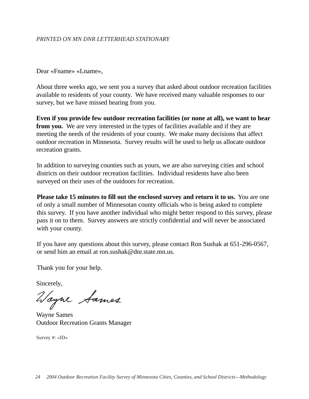Dear «Fname» «Lname»,

About three weeks ago, we sent you a survey that asked about outdoor recreation facilities available to residents of your county. We have received many valuable responses to our survey, but we have missed hearing from you.

**Even if you provide few outdoor recreation facilities (or none at all), we want to hear from you.** We are very interested in the types of facilities available and if they are meeting the needs of the residents of your county. We make many decisions that affect outdoor recreation in Minnesota. Survey results will be used to help us allocate outdoor recreation grants.

In addition to surveying counties such as yours, we are also surveying cities and school districts on their outdoor recreation facilities. Individual residents have also been surveyed on their uses of the outdoors for recreation.

**Please take 15 minutes to fill out the enclosed survey and return it to us.** You are one of only a small number of Minnesotan county officials who is being asked to complete this survey. If you have another individual who might better respond to this survey, please pass it on to them. Survey answers are strictly confidential and will never be associated with your county.

If you have any questions about this survey, please contact Ron Sushak at 651-296-0567, or send him an email at ron.sushak@dnr.state.mn.us.

Thank you for your help.

Sincerely,

Vayne Sames

Wayne Sames Outdoor Recreation Grants Manager

Survey #: «ID»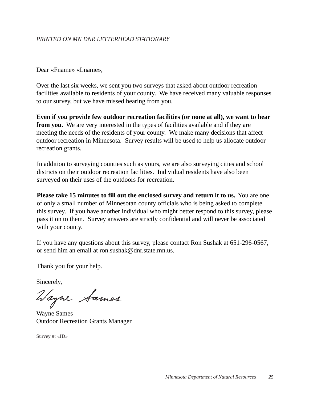Dear «Fname» «Lname»,

Over the last six weeks, we sent you two surveys that asked about outdoor recreation facilities available to residents of your county. We have received many valuable responses to our survey, but we have missed hearing from you.

**Even if you provide few outdoor recreation facilities (or none at all), we want to hear from you.** We are very interested in the types of facilities available and if they are meeting the needs of the residents of your county. We make many decisions that affect outdoor recreation in Minnesota. Survey results will be used to help us allocate outdoor recreation grants.

In addition to surveying counties such as yours, we are also surveying cities and school districts on their outdoor recreation facilities. Individual residents have also been surveyed on their uses of the outdoors for recreation.

**Please take 15 minutes to fill out the enclosed survey and return it to us.** You are one of only a small number of Minnesotan county officials who is being asked to complete this survey. If you have another individual who might better respond to this survey, please pass it on to them. Survey answers are strictly confidential and will never be associated with your county.

If you have any questions about this survey, please contact Ron Sushak at 651-296-0567, or send him an email at ron.sushak@dnr.state.mn.us.

Thank you for your help.

Sincerely,

Vayne Sames

Wayne Sames Outdoor Recreation Grants Manager

Survey #: «ID»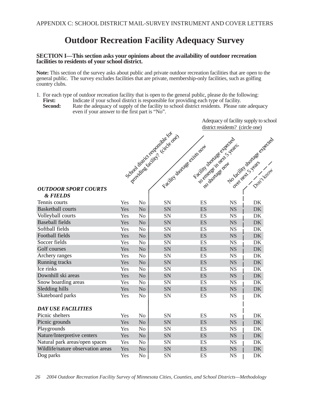## **Outdoor Recreation Facility Adequacy Survey**

#### **SECTION I—This section asks your opinions about the availability of outdoor recreation facilities to residents of your school district.**

**Note:** This section of the survey asks about public and private outdoor recreation facilities that are open to the general public. The survey excludes facilities that are private, membership-only facilities, such as golfing country clubs.

- 1. For each type of outdoor recreation facility that is open to the general public, please do the following:<br>First: Indicate if your school district is responsible for providing each type of facility.
- **Second:** Rate the adequacy of supply of the facility to school district residents. Please rate adequacy even if your answer to the first part is "No".

Adequacy of facility supply to school district residents? (circle one)

|                                   |     |                | School district responsible large | Facility shortage expected       |           | No Facility stortage expected |
|-----------------------------------|-----|----------------|-----------------------------------|----------------------------------|-----------|-------------------------------|
|                                   |     |                | Facility startage exists now      | Lo experience in recent 5 years. |           |                               |
|                                   |     |                |                                   |                                  |           |                               |
|                                   |     |                |                                   | TO STOKES OF MON                 |           | Over perty of yours           |
|                                   |     |                |                                   |                                  |           | Don't Know                    |
|                                   |     |                |                                   |                                  |           |                               |
|                                   |     |                |                                   |                                  |           |                               |
| <b>OUTDOOR SPORT COURTS</b>       |     |                |                                   |                                  |           |                               |
| <b>&amp; FIELDS</b>               |     |                |                                   |                                  |           |                               |
| Tennis courts                     | Yes | N <sub>o</sub> | SN                                | ES                               | <b>NS</b> | DK                            |
| <b>Basketball courts</b>          | Yes | N <sub>o</sub> | SN                                | <b>ES</b>                        | <b>NS</b> | $\rm DK$                      |
| Volleyball courts                 | Yes | N <sub>o</sub> | SN                                | ES                               | <b>NS</b> | <b>DK</b>                     |
| <b>Baseball fields</b>            | Yes | N <sub>o</sub> | SN                                | ES                               | <b>NS</b> | <b>DK</b>                     |
| Softball fields                   | Yes | N <sub>o</sub> | SN                                | ES                               | <b>NS</b> | DK                            |
| Football fields                   | Yes | N <sub>o</sub> | SN                                | <b>ES</b>                        | <b>NS</b> | <b>DK</b>                     |
| Soccer fields                     | Yes | N <sub>o</sub> | SN                                | ES                               | <b>NS</b> | <b>DK</b>                     |
| Golf courses                      | Yes | N <sub>o</sub> | SN                                | ES                               | <b>NS</b> | <b>DK</b>                     |
| Archery ranges                    | Yes | N <sub>o</sub> | SN                                | ES                               | <b>NS</b> | DK                            |
| Running tracks                    | Yes | N <sub>o</sub> | SN                                | ES                               | <b>NS</b> | <b>DK</b>                     |
| Ice rinks                         | Yes | N <sub>o</sub> | SN                                | <b>ES</b>                        | <b>NS</b> | <b>DK</b>                     |
| Downhill ski areas                | Yes | N <sub>o</sub> | SN                                | <b>ES</b>                        | <b>NS</b> | <b>DK</b>                     |
| Snow boarding areas               | Yes | N <sub>o</sub> | SN                                | <b>ES</b>                        | <b>NS</b> | <b>DK</b>                     |
| Sledding hills                    | Yes | N <sub>o</sub> | SN                                | ES                               | <b>NS</b> | $DK$                          |
| Skateboard parks                  | Yes | N <sub>o</sub> | SN                                | ES                               | <b>NS</b> | DK                            |
|                                   |     |                |                                   |                                  |           |                               |
| <b>DAY USE FACILITIES</b>         |     |                |                                   |                                  |           |                               |
| Picnic shelters                   | Yes | N <sub>o</sub> | SN                                | ES                               | <b>NS</b> | DK                            |
| Picnic grounds                    | Yes | N <sub>o</sub> | SN                                | <b>ES</b>                        | <b>NS</b> | <b>DK</b>                     |
| Playgrounds                       | Yes | N <sub>o</sub> | SN                                | ES                               | <b>NS</b> | DK                            |
| Nature/Interpretive centers       | Yes | N <sub>o</sub> | <b>SN</b>                         | <b>ES</b>                        | <b>NS</b> | <b>DK</b>                     |
| Natural park areas/open spaces    | Yes | N <sub>o</sub> | SN                                | <b>ES</b>                        | <b>NS</b> | DK                            |
| Wildlife/nature observation areas | Yes | N <sub>o</sub> | SN                                | <b>ES</b>                        | <b>NS</b> | <b>DK</b>                     |
| Dog parks                         | Yes | N <sub>o</sub> | SN                                | ES                               | <b>NS</b> | <b>DK</b>                     |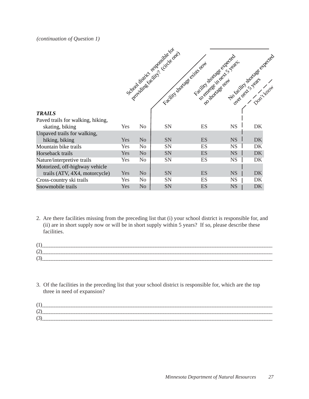*(continuation of Question 1)*

|                                   |     |                | School district responsible fores<br>Facility storage exists now | Feeding Storage of Assession |           | No recition statistics experience |
|-----------------------------------|-----|----------------|------------------------------------------------------------------|------------------------------|-----------|-----------------------------------|
| <b>TRAILS</b>                     |     |                |                                                                  |                              |           |                                   |
| Paved trails for walking, hiking, |     |                |                                                                  |                              |           |                                   |
| skating, biking                   | Yes | N <sub>0</sub> | SN                                                               | ES                           | <b>NS</b> | DK                                |
| Unpaved trails for walking,       |     |                |                                                                  |                              |           |                                   |
| hiking, biking                    | Yes | N <sub>o</sub> | SN                                                               | ES                           | <b>NS</b> | <b>DK</b>                         |
| Mountain bike trails              | Yes | N <sub>0</sub> | <b>SN</b>                                                        | ES                           | <b>NS</b> | DK                                |
| Horseback trails                  | Yes | N <sub>o</sub> | SN                                                               | ES                           | <b>NS</b> | <b>DK</b>                         |
| Nature/interpretive trails        | Yes | N <sub>o</sub> | SN                                                               | <b>ES</b>                    | <b>NS</b> | <b>DK</b>                         |
| Motorized, off-highway vehicle    |     |                |                                                                  |                              |           |                                   |
| trails (ATV, 4X4, motorcycle)     | Yes | N <sub>o</sub> | SN                                                               | ES                           | <b>NS</b> | DK                                |
| Cross-country ski trails          | Yes | No             | SN                                                               | ES                           | <b>NS</b> | DK                                |
| Snowmobile trails                 | Yes | N <sub>o</sub> | SN                                                               | <b>ES</b>                    | <b>NS</b> | <b>DK</b>                         |

2. Are there facilities missing from the preceding list that (i) your school district is responsible for, and (ii) are in short supply now or will be in short supply within 5 years? If so, please describe these facilities.

3. Of the facilities in the preceding list that your school district is responsible for, which are the top three in need of expansion?

| $\sqrt{2}$<br>-- |  |
|------------------|--|
| $\sqrt{2}$       |  |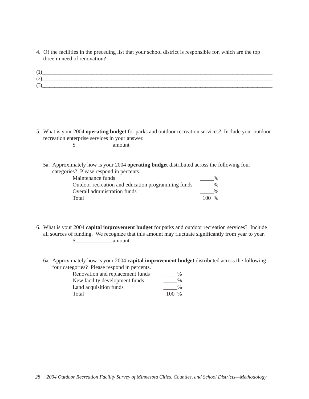4. Of the facilities in the preceding list that your school district is responsible for, which are the top three in need of renovation?

5. What is your 2004 **operating budget** for parks and outdoor recreation services? Include your outdoor recreation enterprise services in your answer.

 $\frac{\S_{\text{max}}}{\S_{\text{max}}}$  amount

5a. Approximately how is your 2004 **operating budget** distributed across the following four categories? Please respond in percents.

| Maintenance funds                                  | $\%$          |
|----------------------------------------------------|---------------|
| Outdoor recreation and education programming funds | $\frac{0}{0}$ |
| Overall administration funds                       | $\%$          |
| Total                                              | $100\%$       |

- 6. What is your 2004 **capital improvement budget** for parks and outdoor recreation services? Include all sources of funding. We recognize that this amount may fluctuate significantly from year to year. \$\_\_\_\_\_\_\_\_\_\_\_\_\_ amount
	- 6a. Approximately how is your 2004 **capital improvement budget** distributed across the following four categories? Please respond in percents.

| Renovation and replacement funds |         | $\%$ |
|----------------------------------|---------|------|
| New facility development funds   |         | $\%$ |
| Land acquisition funds           |         | $\%$ |
| Total                            | $100\%$ |      |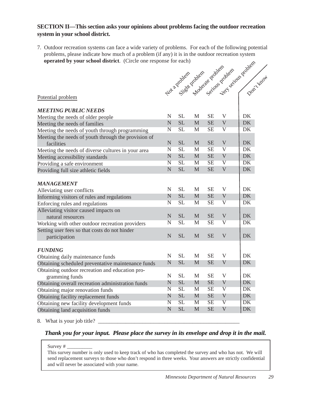## **SECTION II—This section asks your opinions about problems facing the outdoor recreation system in your school district.**

7. Outdoor recreation systems can face a wide variety of problems. For each of the following potential problems, please indicate how much of a problem (if any) it is in the outdoor recreation system **operated by your school district**. (Circle one response for each)

| operated by your school district. (Circle one response for each)<br>Not a project projects of diverse projects and the |                |           |                         |           |                           |            |  |
|------------------------------------------------------------------------------------------------------------------------|----------------|-----------|-------------------------|-----------|---------------------------|------------|--|
|                                                                                                                        |                |           |                         |           |                           |            |  |
|                                                                                                                        |                |           |                         |           |                           |            |  |
|                                                                                                                        |                |           |                         |           |                           |            |  |
| Potential problem                                                                                                      |                |           |                         |           |                           | Don't Knox |  |
|                                                                                                                        |                |           |                         |           |                           |            |  |
| <i><b>MEETING PUBLIC NEEDS</b></i>                                                                                     |                |           |                         |           |                           |            |  |
| Meeting the needs of older people                                                                                      | N              | SL        | M                       | <b>SE</b> | $\mathbf{V}$              | <b>DK</b>  |  |
| Meeting the needs of families                                                                                          | $\mathbf N$    | <b>SL</b> | M                       | <b>SE</b> | $\mathbf V$               | <b>DK</b>  |  |
| Meeting the needs of youth through programming                                                                         | N              | SL        | M                       | SE        | $\overline{\mathsf{V}}$   | DK         |  |
| Meeting the needs of youth through the provision of                                                                    |                |           |                         |           |                           |            |  |
| facilities                                                                                                             | $\mathbf N$    | <b>SL</b> | $\mathbf{M}$            | <b>SE</b> | V                         | <b>DK</b>  |  |
| Meeting the needs of diverse cultures in your area                                                                     | $\mathbf N$    | <b>SL</b> | M                       | <b>SE</b> | V                         | DK         |  |
| Meeting accessibility standards                                                                                        | $\mathbf N$    | <b>SL</b> | M                       | <b>SE</b> | $\mathbf V$               | <b>DK</b>  |  |
| Providing a safe environment                                                                                           | $\overline{N}$ | SL        | М                       | <b>SE</b> | $\overline{\mathsf{V}}$   | <b>DK</b>  |  |
| Providing full size athletic fields                                                                                    | $\mathbf N$    | SL        | $\mathbf{M}$            | <b>SE</b> | $\mathbf V$               | <b>DK</b>  |  |
| <b>MANAGEMENT</b>                                                                                                      |                |           |                         |           |                           |            |  |
| Alleviating user conflicts                                                                                             | N              | SL        | $\mathbf{M}$            | <b>SE</b> | $\mathbf V$               | DK         |  |
| Informing visitors of rules and regulations                                                                            | N              | <b>SL</b> | M                       | <b>SE</b> | $\mathbf V$               | <b>DK</b>  |  |
| Enforcing rules and regulations                                                                                        | N              | SL        | $\overline{\mathbf{M}}$ | <b>SE</b> | $\overline{\mathsf{V}}$   | <b>DK</b>  |  |
| Alleviating visitor caused impacts on                                                                                  |                |           |                         |           |                           |            |  |
| natural resources                                                                                                      | $\mathbf N$    | <b>SL</b> | $\mathbf M$             | <b>SE</b> | $\mathbf V$               | <b>DK</b>  |  |
| Working with other outdoor recreation providers                                                                        | $\overline{N}$ | SL        | M                       | <b>SE</b> | $\overline{\mathsf{V}}$   | <b>DK</b>  |  |
| Setting user fees so that costs do not hinder                                                                          |                |           |                         |           |                           |            |  |
| participation                                                                                                          | ${\bf N}$      | <b>SL</b> | $\mathbf M$             | <b>SE</b> | $\mathbf V$               | <b>DK</b>  |  |
| <b>FUNDING</b>                                                                                                         |                |           |                         |           |                           |            |  |
| Obtaining daily maintenance funds                                                                                      | N              | <b>SL</b> | M                       | <b>SE</b> | V                         | <b>DK</b>  |  |
| Obtaining scheduled preventative maintenance funds                                                                     | N              | <b>SL</b> | M                       | <b>SE</b> | V                         | DK         |  |
| Obtaining outdoor recreation and education pro-                                                                        |                |           |                         |           |                           |            |  |
| gramming funds                                                                                                         | $\mathbf N$    | SL        | M                       | <b>SE</b> | V                         | DK         |  |
| Obtaining overall recreation administration funds                                                                      | $\mathbf N$    | SL        | M                       | <b>SE</b> | $\boldsymbol{\mathrm{V}}$ | DK         |  |
| Obtaining major renovation funds                                                                                       | $\overline{N}$ | SL        | $\overline{\mathbf{M}}$ | <b>SE</b> | $\overline{\mathsf{V}}$   | <b>DK</b>  |  |
| Obtaining facility replacement funds                                                                                   | N              | SL        | M                       | <b>SE</b> | V                         | DK         |  |
| Obtaining new facility development funds                                                                               | N              | SL        | M                       | <b>SE</b> | $\overline{\mathbf{V}}$   | <b>DK</b>  |  |
| Obtaining land acquisition funds                                                                                       | N              | <b>SL</b> | M                       | <b>SE</b> | $\overline{\mathsf{V}}$   | DK         |  |
|                                                                                                                        |                |           |                         |           |                           |            |  |

8. What is your job title?

### *Thank you for your input. Please place the survey in its envelope and drop it in the mail.*

Survey  $#_$ 

This survey number is only used to keep track of who has completed the survey and who has not. We will send replacement surveys to those who don't respond in three weeks. Your answers are strictly confidential and will never be associated with your name.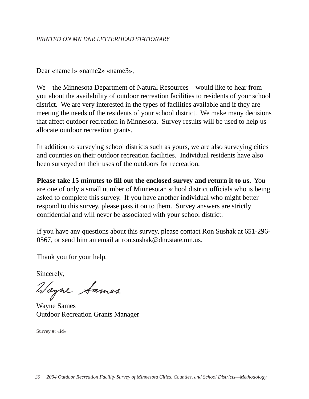Dear «name1» «name2» «name3»,

We—the Minnesota Department of Natural Resources—would like to hear from you about the availability of outdoor recreation facilities to residents of your school district. We are very interested in the types of facilities available and if they are meeting the needs of the residents of your school district. We make many decisions that affect outdoor recreation in Minnesota. Survey results will be used to help us allocate outdoor recreation grants.

In addition to surveying school districts such as yours, we are also surveying cities and counties on their outdoor recreation facilities. Individual residents have also been surveyed on their uses of the outdoors for recreation.

**Please take 15 minutes to fill out the enclosed survey and return it to us.** You are one of only a small number of Minnesotan school district officials who is being asked to complete this survey. If you have another individual who might better respond to this survey, please pass it on to them. Survey answers are strictly confidential and will never be associated with your school district.

If you have any questions about this survey, please contact Ron Sushak at 651-296- 0567, or send him an email at ron.sushak@dnr.state.mn.us.

Thank you for your help.

Sincerely,

Vayne Sames

Wayne Sames Outdoor Recreation Grants Manager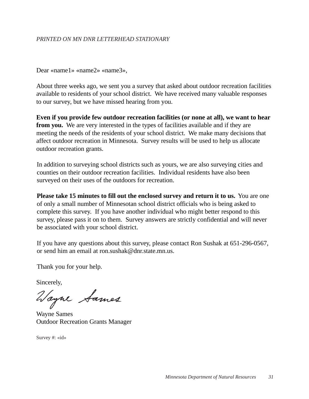Dear «name1» «name2» «name3»,

About three weeks ago, we sent you a survey that asked about outdoor recreation facilities available to residents of your school district. We have received many valuable responses to our survey, but we have missed hearing from you.

**Even if you provide few outdoor recreation facilities (or none at all), we want to hear from you.** We are very interested in the types of facilities available and if they are meeting the needs of the residents of your school district. We make many decisions that affect outdoor recreation in Minnesota. Survey results will be used to help us allocate outdoor recreation grants.

In addition to surveying school districts such as yours, we are also surveying cities and counties on their outdoor recreation facilities. Individual residents have also been surveyed on their uses of the outdoors for recreation.

**Please take 15 minutes to fill out the enclosed survey and return it to us.** You are one of only a small number of Minnesotan school district officials who is being asked to complete this survey. If you have another individual who might better respond to this survey, please pass it on to them. Survey answers are strictly confidential and will never be associated with your school district.

If you have any questions about this survey, please contact Ron Sushak at 651-296-0567, or send him an email at ron.sushak@dnr.state.mn.us.

Thank you for your help.

Sincerely,

Vayne Sames

Wayne Sames Outdoor Recreation Grants Manager